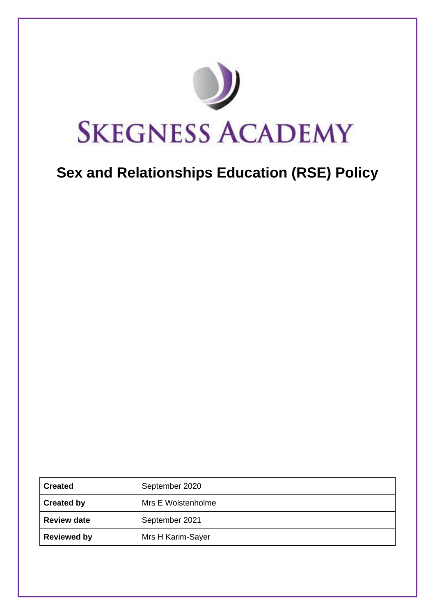

# **Sex and Relationships Education (RSE) Policy**

| <b>Created</b>     | September 2020     |
|--------------------|--------------------|
| <b>Created by</b>  | Mrs E Wolstenholme |
| <b>Review date</b> | September 2021     |
| <b>Reviewed by</b> | Mrs H Karim-Sayer  |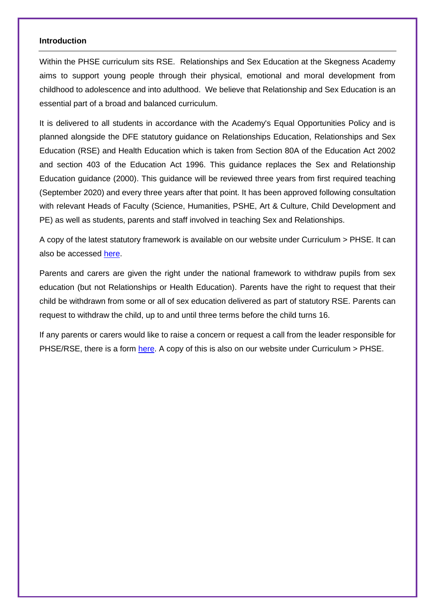#### **Introduction**

Within the PHSE curriculum sits RSE. Relationships and Sex Education at the Skegness Academy aims to support young people through their physical, emotional and moral development from childhood to adolescence and into adulthood. We believe that Relationship and Sex Education is an essential part of a broad and balanced curriculum.

It is delivered to all students in accordance with the Academy's Equal Opportunities Policy and is planned alongside the DFE statutory guidance on Relationships Education, Relationships and Sex Education (RSE) and Health Education which is taken from Section 80A of the Education Act 2002 and section 403 of the Education Act 1996. This guidance replaces the Sex and Relationship Education guidance (2000). This guidance will be reviewed three years from first required teaching (September 2020) and every three years after that point. It has been approved following consultation with relevant Heads of Faculty (Science, Humanities, PSHE, Art & Culture, Child Development and PE) as well as students, parents and staff involved in teaching Sex and Relationships.

A copy of the latest statutory framework is available on our website under Curriculum > PHSE. It can also be accessed [here.](https://assets.publishing.service.gov.uk/government/uploads/system/uploads/attachment_data/file/908013/Relationships_Education__Relationships_and_Sex_Education__RSE__and_Health_Education.pdf)

Parents and carers are given the right under the national framework to withdraw pupils from sex education (but not Relationships or Health Education). Parents have the right to request that their child be withdrawn from some or all of sex education delivered as part of statutory RSE. Parents can request to withdraw the child, up to and until three terms before the child turns 16.

If any parents or carers would like to raise a concern or request a call from the leader responsible for PHSE/RSE, there is a form [here.](https://forms.office.com/Pages/ResponsePage.aspx?id=WnSRoNi3ek2yphNZBT1FEN4rD0mpZ2BCtWE6gyRZ20ZUQUc3WEk4QVNNRFpCMzhSTUxMQVo0QTlQNC4u) A copy of this is also on our website under Curriculum > PHSE.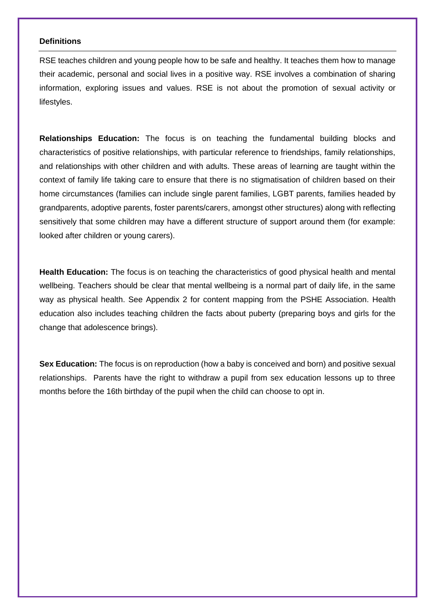#### **Definitions**

RSE teaches children and young people how to be safe and healthy. It teaches them how to manage their academic, personal and social lives in a positive way. RSE involves a combination of sharing information, exploring issues and values. RSE is not about the promotion of sexual activity or lifestyles.

**Relationships Education:** The focus is on teaching the fundamental building blocks and characteristics of positive relationships, with particular reference to friendships, family relationships, and relationships with other children and with adults. These areas of learning are taught within the context of family life taking care to ensure that there is no stigmatisation of children based on their home circumstances (families can include single parent families, LGBT parents, families headed by grandparents, adoptive parents, foster parents/carers, amongst other structures) along with reflecting sensitively that some children may have a different structure of support around them (for example: looked after children or young carers).

**Health Education:** The focus is on teaching the characteristics of good physical health and mental wellbeing. Teachers should be clear that mental wellbeing is a normal part of daily life, in the same way as physical health. See Appendix 2 for content mapping from the PSHE Association. Health education also includes teaching children the facts about puberty (preparing boys and girls for the change that adolescence brings).

**Sex Education:** The focus is on reproduction (how a baby is conceived and born) and positive sexual relationships. Parents have the right to withdraw a pupil from sex education lessons up to three months before the 16th birthday of the pupil when the child can choose to opt in.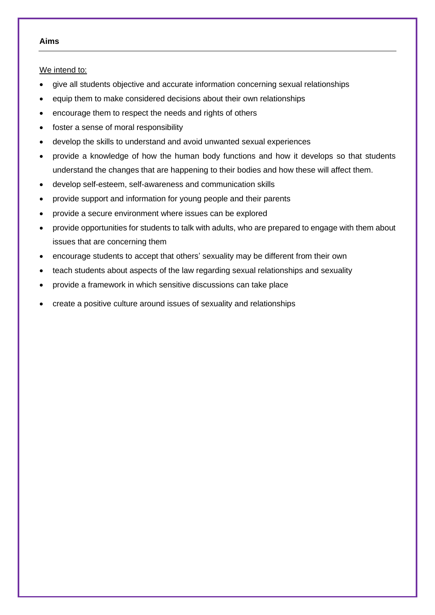#### **Aims**

We intend to:

- give all students objective and accurate information concerning sexual relationships
- equip them to make considered decisions about their own relationships
- encourage them to respect the needs and rights of others
- foster a sense of moral responsibility
- develop the skills to understand and avoid unwanted sexual experiences
- provide a knowledge of how the human body functions and how it develops so that students understand the changes that are happening to their bodies and how these will affect them.
- develop self-esteem, self-awareness and communication skills
- provide support and information for young people and their parents
- provide a secure environment where issues can be explored
- provide opportunities for students to talk with adults, who are prepared to engage with them about issues that are concerning them
- encourage students to accept that others' sexuality may be different from their own
- teach students about aspects of the law regarding sexual relationships and sexuality
- provide a framework in which sensitive discussions can take place
- create a positive culture around issues of sexuality and relationships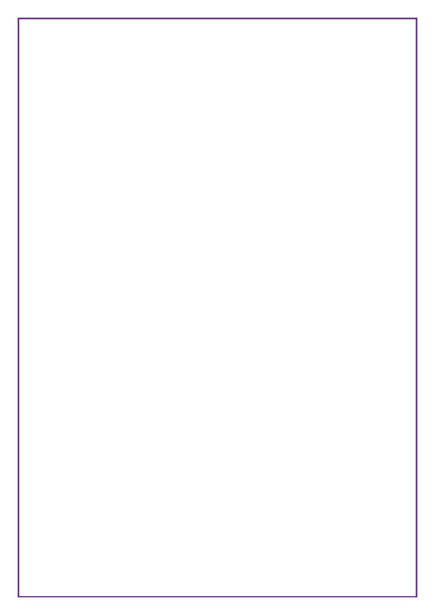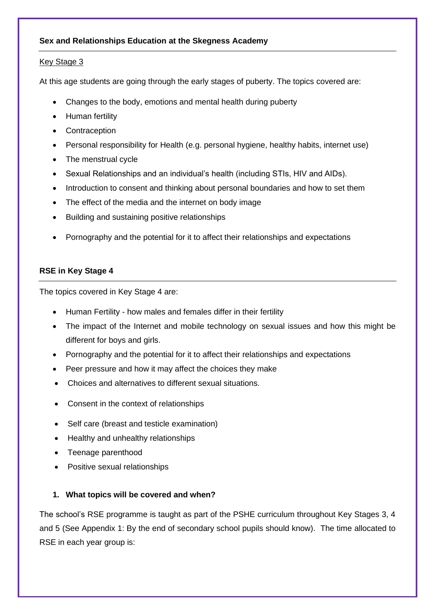# **Sex and Relationships Education at the Skegness Academy**

### Key Stage 3

At this age students are going through the early stages of puberty. The topics covered are:

- Changes to the body, emotions and mental health during puberty
- Human fertility
- Contraception
- Personal responsibility for Health (e.g. personal hygiene, healthy habits, internet use)
- The menstrual cycle
- Sexual Relationships and an individual's health (including STIs, HIV and AIDs).
- Introduction to consent and thinking about personal boundaries and how to set them
- The effect of the media and the internet on body image
- Building and sustaining positive relationships
- Pornography and the potential for it to affect their relationships and expectations

### **RSE in Key Stage 4**

The topics covered in Key Stage 4 are:

- Human Fertility how males and females differ in their fertility
- The impact of the Internet and mobile technology on sexual issues and how this might be different for boys and girls.
- Pornography and the potential for it to affect their relationships and expectations
- Peer pressure and how it may affect the choices they make
- Choices and alternatives to different sexual situations.
- Consent in the context of relationships
- Self care (breast and testicle examination)
- Healthy and unhealthy relationships
- Teenage parenthood
- Positive sexual relationships

#### **1. What topics will be covered and when?**

The school's RSE programme is taught as part of the PSHE curriculum throughout Key Stages 3, 4 and 5 (See Appendix 1: By the end of secondary school pupils should know). The time allocated to RSE in each year group is: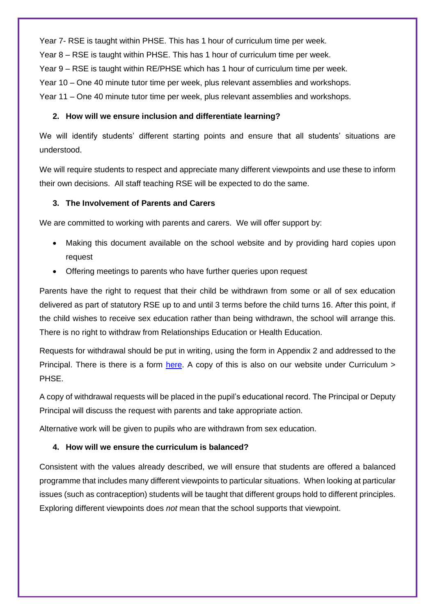Year 7- RSE is taught within PHSE. This has 1 hour of curriculum time per week.

Year 8 – RSE is taught within PHSE. This has 1 hour of curriculum time per week.

Year 9 – RSE is taught within RE/PHSE which has 1 hour of curriculum time per week.

Year 10 – One 40 minute tutor time per week, plus relevant assemblies and workshops.

Year 11 – One 40 minute tutor time per week, plus relevant assemblies and workshops.

## **2. How will we ensure inclusion and differentiate learning?**

We will identify students' different starting points and ensure that all students' situations are understood.

We will require students to respect and appreciate many different viewpoints and use these to inform their own decisions. All staff teaching RSE will be expected to do the same.

# **3. The Involvement of Parents and Carers**

We are committed to working with parents and carers. We will offer support by:

- Making this document available on the school website and by providing hard copies upon request
- Offering meetings to parents who have further queries upon request

Parents have the right to request that their child be withdrawn from some or all of sex education delivered as part of statutory RSE up to and until 3 terms before the child turns 16. After this point, if the child wishes to receive sex education rather than being withdrawn, the school will arrange this. There is no right to withdraw from Relationships Education or Health Education.

Requests for withdrawal should be put in writing, using the form in Appendix 2 and addressed to the Principal. There is there is a form [here.](https://forms.office.com/Pages/ResponsePage.aspx?id=WnSRoNi3ek2yphNZBT1FEN4rD0mpZ2BCtWE6gyRZ20ZUQUc3WEk4QVNNRFpCMzhSTUxMQVo0QTlQNC4u) A copy of this is also on our website under Curriculum > PHSE.

A copy of withdrawal requests will be placed in the pupil's educational record. The Principal or Deputy Principal will discuss the request with parents and take appropriate action.

Alternative work will be given to pupils who are withdrawn from sex education.

# **4. How will we ensure the curriculum is balanced?**

Consistent with the values already described, we will ensure that students are offered a balanced programme that includes many different viewpoints to particular situations. When looking at particular issues (such as contraception) students will be taught that different groups hold to different principles. Exploring different viewpoints does *not* mean that the school supports that viewpoint.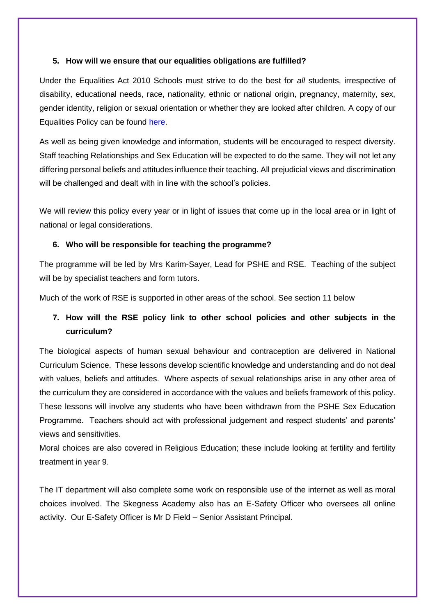#### **5. How will we ensure that our equalities obligations are fulfilled?**

Under the Equalities Act 2010 Schools must strive to do the best for *all* students, irrespective of disability, educational needs, race, nationality, ethnic or national origin, pregnancy, maternity, sex, gender identity, religion or sexual orientation or whether they are looked after children. A copy of our Equalities Policy can be found [here.](https://www.skegnessacademy.org/_site/data/files/documents/3EA42CAB9DBAFC7285C17258DB9B38F5.pdf)

As well as being given knowledge and information, students will be encouraged to respect diversity. Staff teaching Relationships and Sex Education will be expected to do the same. They will not let any differing personal beliefs and attitudes influence their teaching. All prejudicial views and discrimination will be challenged and dealt with in line with the school's policies.

We will review this policy every year or in light of issues that come up in the local area or in light of national or legal considerations.

# **6. Who will be responsible for teaching the programme?**

The programme will be led by Mrs Karim-Sayer, Lead for PSHE and RSE. Teaching of the subject will be by specialist teachers and form tutors.

Much of the work of RSE is supported in other areas of the school. See section 11 below

# **7. How will the RSE policy link to other school policies and other subjects in the curriculum?**

The biological aspects of human sexual behaviour and contraception are delivered in National Curriculum Science. These lessons develop scientific knowledge and understanding and do not deal with values, beliefs and attitudes. Where aspects of sexual relationships arise in any other area of the curriculum they are considered in accordance with the values and beliefs framework of this policy. These lessons will involve any students who have been withdrawn from the PSHE Sex Education Programme. Teachers should act with professional judgement and respect students' and parents' views and sensitivities.

Moral choices are also covered in Religious Education; these include looking at fertility and fertility treatment in year 9.

The IT department will also complete some work on responsible use of the internet as well as moral choices involved. The Skegness Academy also has an E-Safety Officer who oversees all online activity. Our E-Safety Officer is Mr D Field – Senior Assistant Principal.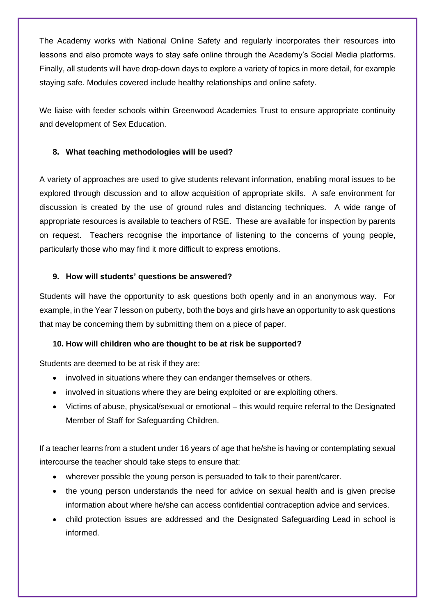The Academy works with National Online Safety and regularly incorporates their resources into lessons and also promote ways to stay safe online through the Academy's Social Media platforms. Finally, all students will have drop-down days to explore a variety of topics in more detail, for example staying safe. Modules covered include healthy relationships and online safety.

We liaise with feeder schools within Greenwood Academies Trust to ensure appropriate continuity and development of Sex Education.

# **8. What teaching methodologies will be used?**

A variety of approaches are used to give students relevant information, enabling moral issues to be explored through discussion and to allow acquisition of appropriate skills. A safe environment for discussion is created by the use of ground rules and distancing techniques. A wide range of appropriate resources is available to teachers of RSE. These are available for inspection by parents on request. Teachers recognise the importance of listening to the concerns of young people, particularly those who may find it more difficult to express emotions.

#### **9. How will students' questions be answered?**

Students will have the opportunity to ask questions both openly and in an anonymous way. For example, in the Year 7 lesson on puberty, both the boys and girls have an opportunity to ask questions that may be concerning them by submitting them on a piece of paper.

#### **10. How will children who are thought to be at risk be supported?**

Students are deemed to be at risk if they are:

- involved in situations where they can endanger themselves or others.
- involved in situations where they are being exploited or are exploiting others.
- Victims of abuse, physical/sexual or emotional this would require referral to the Designated Member of Staff for Safeguarding Children.

If a teacher learns from a student under 16 years of age that he/she is having or contemplating sexual intercourse the teacher should take steps to ensure that:

- wherever possible the young person is persuaded to talk to their parent/carer.
- the young person understands the need for advice on sexual health and is given precise information about where he/she can access confidential contraception advice and services.
- child protection issues are addressed and the Designated Safeguarding Lead in school is informed.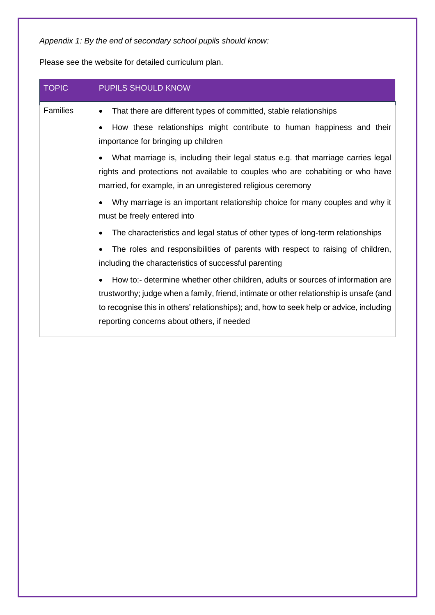*Appendix 1: By the end of secondary school pupils should know:*

Please see the website for detailed curriculum plan.

| <b>TOPIC</b> | <b>PUPILS SHOULD KNOW</b>                                                                                                                                                                                                                                                                                           |
|--------------|---------------------------------------------------------------------------------------------------------------------------------------------------------------------------------------------------------------------------------------------------------------------------------------------------------------------|
| Families     | That there are different types of committed, stable relationships<br>$\bullet$                                                                                                                                                                                                                                      |
|              | How these relationships might contribute to human happiness and their<br>importance for bringing up children                                                                                                                                                                                                        |
|              | What marriage is, including their legal status e.g. that marriage carries legal<br>rights and protections not available to couples who are cohabiting or who have<br>married, for example, in an unregistered religious ceremony                                                                                    |
|              | Why marriage is an important relationship choice for many couples and why it<br>must be freely entered into                                                                                                                                                                                                         |
|              | The characteristics and legal status of other types of long-term relationships                                                                                                                                                                                                                                      |
|              | The roles and responsibilities of parents with respect to raising of children,<br>including the characteristics of successful parenting                                                                                                                                                                             |
|              | How to:- determine whether other children, adults or sources of information are<br>trustworthy; judge when a family, friend, intimate or other relationship is unsafe (and<br>to recognise this in others' relationships); and, how to seek help or advice, including<br>reporting concerns about others, if needed |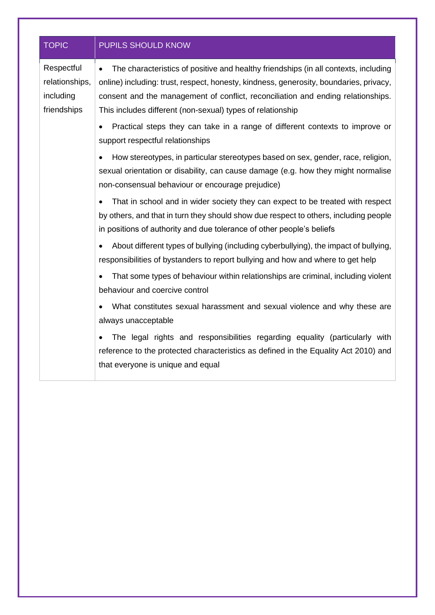| <b>TOPIC</b>                                             | PUPILS SHOULD KNOW                                                                                                                                                                                                                                                                                                              |
|----------------------------------------------------------|---------------------------------------------------------------------------------------------------------------------------------------------------------------------------------------------------------------------------------------------------------------------------------------------------------------------------------|
| Respectful<br>relationships,<br>including<br>friendships | The characteristics of positive and healthy friendships (in all contexts, including<br>online) including: trust, respect, honesty, kindness, generosity, boundaries, privacy,<br>consent and the management of conflict, reconciliation and ending relationships.<br>This includes different (non-sexual) types of relationship |
|                                                          | Practical steps they can take in a range of different contexts to improve or<br>support respectful relationships                                                                                                                                                                                                                |
|                                                          | How stereotypes, in particular stereotypes based on sex, gender, race, religion,<br>sexual orientation or disability, can cause damage (e.g. how they might normalise<br>non-consensual behaviour or encourage prejudice)                                                                                                       |
|                                                          | That in school and in wider society they can expect to be treated with respect<br>by others, and that in turn they should show due respect to others, including people<br>in positions of authority and due tolerance of other people's beliefs                                                                                 |
|                                                          | About different types of bullying (including cyberbullying), the impact of bullying,<br>responsibilities of bystanders to report bullying and how and where to get help                                                                                                                                                         |
|                                                          | That some types of behaviour within relationships are criminal, including violent<br>behaviour and coercive control                                                                                                                                                                                                             |
|                                                          | What constitutes sexual harassment and sexual violence and why these are<br>always unacceptable                                                                                                                                                                                                                                 |
|                                                          | The legal rights and responsibilities regarding equality (particularly with<br>reference to the protected characteristics as defined in the Equality Act 2010) and<br>that everyone is unique and equal                                                                                                                         |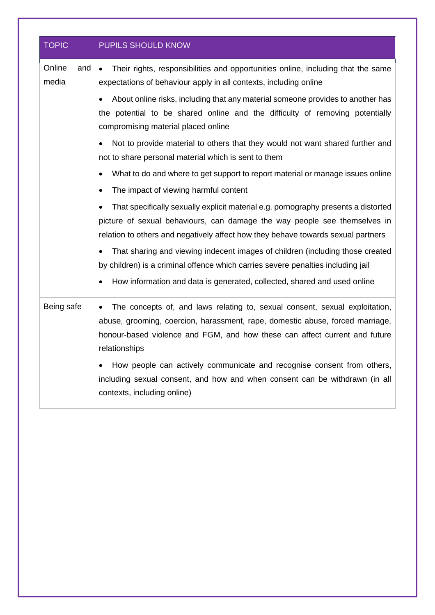| <b>TOPIC</b>           | <b>PUPILS SHOULD KNOW</b>                                                                                                                                                                                                                                                |
|------------------------|--------------------------------------------------------------------------------------------------------------------------------------------------------------------------------------------------------------------------------------------------------------------------|
| Online<br>and<br>media | Their rights, responsibilities and opportunities online, including that the same<br>$\bullet$<br>expectations of behaviour apply in all contexts, including online                                                                                                       |
|                        | About online risks, including that any material someone provides to another has<br>the potential to be shared online and the difficulty of removing potentially<br>compromising material placed online                                                                   |
|                        | Not to provide material to others that they would not want shared further and<br>$\bullet$<br>not to share personal material which is sent to them                                                                                                                       |
|                        | What to do and where to get support to report material or manage issues online<br>$\bullet$<br>The impact of viewing harmful content                                                                                                                                     |
|                        | That specifically sexually explicit material e.g. pornography presents a distorted<br>$\bullet$<br>picture of sexual behaviours, can damage the way people see themselves in<br>relation to others and negatively affect how they behave towards sexual partners         |
|                        | That sharing and viewing indecent images of children (including those created<br>by children) is a criminal offence which carries severe penalties including jail<br>How information and data is generated, collected, shared and used online<br>$\bullet$               |
| Being safe             | The concepts of, and laws relating to, sexual consent, sexual exploitation,<br>$\bullet$<br>abuse, grooming, coercion, harassment, rape, domestic abuse, forced marriage,<br>honour-based violence and FGM, and how these can affect current and future<br>relationships |
|                        | How people can actively communicate and recognise consent from others,<br>including sexual consent, and how and when consent can be withdrawn (in all<br>contexts, including online)                                                                                     |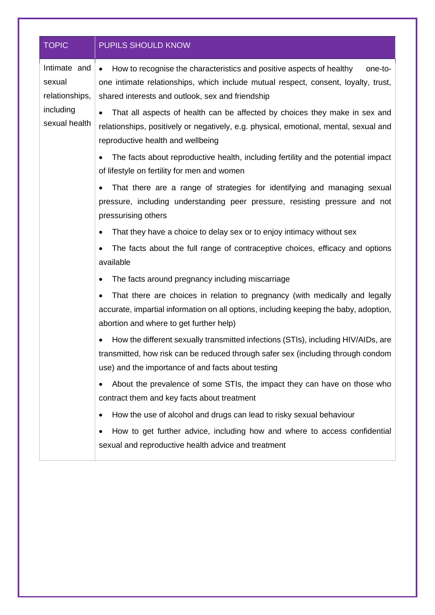| Intimate and<br>How to recognise the characteristics and positive aspects of healthy<br>$\bullet$<br>sexual<br>relationships,<br>shared interests and outlook, sex and friendship<br>including<br>$\bullet$<br>sexual health                                                                                                                                                                                                                                                                                                                                        | <b>TOPIC</b> | <b>PUPILS SHOULD KNOW</b>                                                                                                                                                                                                                                                                                                                                                                                                                                                                                                                                                                                                                                                                                                                                                                                                                                                                                                                                                                                                                                                                                       |
|---------------------------------------------------------------------------------------------------------------------------------------------------------------------------------------------------------------------------------------------------------------------------------------------------------------------------------------------------------------------------------------------------------------------------------------------------------------------------------------------------------------------------------------------------------------------|--------------|-----------------------------------------------------------------------------------------------------------------------------------------------------------------------------------------------------------------------------------------------------------------------------------------------------------------------------------------------------------------------------------------------------------------------------------------------------------------------------------------------------------------------------------------------------------------------------------------------------------------------------------------------------------------------------------------------------------------------------------------------------------------------------------------------------------------------------------------------------------------------------------------------------------------------------------------------------------------------------------------------------------------------------------------------------------------------------------------------------------------|
| reproductive health and wellbeing<br>$\bullet$<br>of lifestyle on fertility for men and women<br>pressurising others<br>That they have a choice to delay sex or to enjoy intimacy without sex<br>available<br>The facts around pregnancy including miscarriage<br>٠<br>abortion and where to get further help)<br>use) and the importance of and facts about testing<br>$\bullet$<br>contract them and key facts about treatment<br>How the use of alcohol and drugs can lead to risky sexual behaviour<br>٠<br>sexual and reproductive health advice and treatment |              | one-to-<br>one intimate relationships, which include mutual respect, consent, loyalty, trust,<br>That all aspects of health can be affected by choices they make in sex and<br>relationships, positively or negatively, e.g. physical, emotional, mental, sexual and<br>The facts about reproductive health, including fertility and the potential impact<br>That there are a range of strategies for identifying and managing sexual<br>pressure, including understanding peer pressure, resisting pressure and not<br>The facts about the full range of contraceptive choices, efficacy and options<br>That there are choices in relation to pregnancy (with medically and legally<br>accurate, impartial information on all options, including keeping the baby, adoption,<br>How the different sexually transmitted infections (STIs), including HIV/AIDs, are<br>transmitted, how risk can be reduced through safer sex (including through condom<br>About the prevalence of some STIs, the impact they can have on those who<br>How to get further advice, including how and where to access confidential |